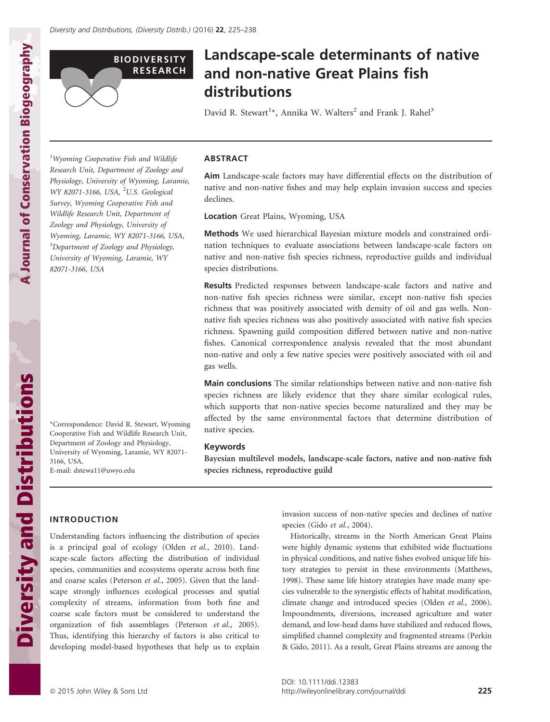

# Landscape-scale determinants of native and non-native Great Plains fish distributions

David R. Stewart<sup>1\*</sup>, Annika W. Walters<sup>2</sup> and Frank J. Rahel<sup>3</sup>

<sup>1</sup>Wyoming Cooperative Fish and Wildlife Research Unit, Department of Zoology and Physiology, University of Wyoming, Laramie, WY 82071-3166, USA, <sup>2</sup>U.S. Geological Survey, Wyoming Cooperative Fish and Wildlife Research Unit, Department of Zoology and Physiology, University of Wyoming, Laramie, WY 82071-3166, USA, <sup>3</sup>Department of Zoology and Physiology, University of Wyoming, Laramie, WY 82071-3166, USA

\*Correspondence: David R. Stewart, Wyoming Cooperative Fish and Wildlife Research Unit, Department of Zoology and Physiology, University of Wyoming, Laramie, WY 82071-

## ABSTRACT

Aim Landscape-scale factors may have differential effects on the distribution of native and non-native fishes and may help explain invasion success and species declines.

Location Great Plains, Wyoming, USA

Methods We used hierarchical Bayesian mixture models and constrained ordination techniques to evaluate associations between landscape-scale factors on native and non-native fish species richness, reproductive guilds and individual species distributions.

Results Predicted responses between landscape-scale factors and native and non-native fish species richness were similar, except non-native fish species richness that was positively associated with density of oil and gas wells. Nonnative fish species richness was also positively associated with native fish species richness. Spawning guild composition differed between native and non-native fishes. Canonical correspondence analysis revealed that the most abundant non-native and only a few native species were positively associated with oil and gas wells.

Main conclusions The similar relationships between native and non-native fish species richness are likely evidence that they share similar ecological rules, which supports that non-native species become naturalized and they may be affected by the same environmental factors that determine distribution of native species.

#### Keywords

Bayesian multilevel models, landscape-scale factors, native and non-native fish species richness, reproductive guild

# **Diversity and Distributions** Diversity and Distributions

A Journal of Conservation Biogeography

**A Journal of Conservation Biogeography** 

INTRODUCTION

E-mail: dstewa11@uwyo.edu

3166, USA.

Understanding factors influencing the distribution of species is a principal goal of ecology (Olden et al., 2010). Landscape-scale factors affecting the distribution of individual species, communities and ecosystems operate across both fine and coarse scales (Peterson et al., 2005). Given that the landscape strongly influences ecological processes and spatial complexity of streams, information from both fine and coarse scale factors must be considered to understand the organization of fish assemblages (Peterson et al., 2005). Thus, identifying this hierarchy of factors is also critical to developing model-based hypotheses that help us to explain invasion success of non-native species and declines of native species (Gido et al., 2004).

Historically, streams in the North American Great Plains were highly dynamic systems that exhibited wide fluctuations in physical conditions, and native fishes evolved unique life history strategies to persist in these environments (Matthews, 1998). These same life history strategies have made many species vulnerable to the synergistic effects of habitat modification, climate change and introduced species (Olden et al., 2006). Impoundments, diversions, increased agriculture and water demand, and low-head dams have stabilized and reduced flows, simplified channel complexity and fragmented streams (Perkin & Gido, 2011). As a result, Great Plains streams are among the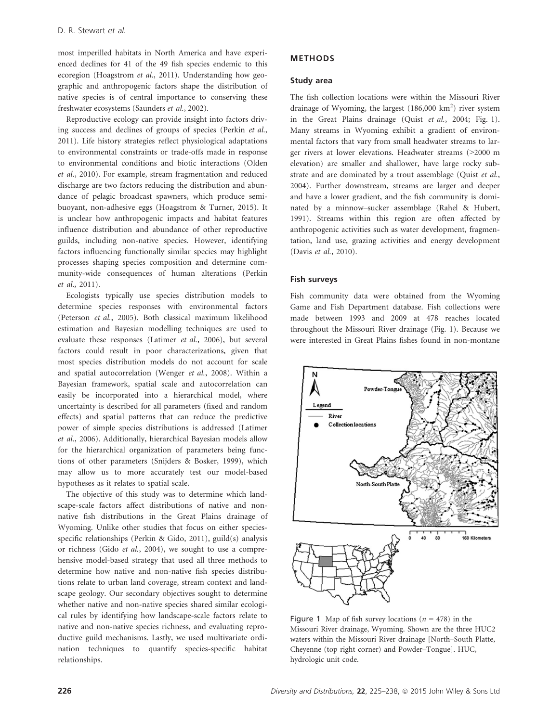most imperilled habitats in North America and have experienced declines for 41 of the 49 fish species endemic to this ecoregion (Hoagstrom et al., 2011). Understanding how geographic and anthropogenic factors shape the distribution of native species is of central importance to conserving these freshwater ecosystems (Saunders et al., 2002).

Reproductive ecology can provide insight into factors driving success and declines of groups of species (Perkin et al., 2011). Life history strategies reflect physiological adaptations to environmental constraints or trade-offs made in response to environmental conditions and biotic interactions (Olden et al., 2010). For example, stream fragmentation and reduced discharge are two factors reducing the distribution and abundance of pelagic broadcast spawners, which produce semibuoyant, non-adhesive eggs (Hoagstrom & Turner, 2015). It is unclear how anthropogenic impacts and habitat features influence distribution and abundance of other reproductive guilds, including non-native species. However, identifying factors influencing functionally similar species may highlight processes shaping species composition and determine community-wide consequences of human alterations (Perkin et al., 2011).

Ecologists typically use species distribution models to determine species responses with environmental factors (Peterson et al., 2005). Both classical maximum likelihood estimation and Bayesian modelling techniques are used to evaluate these responses (Latimer et al., 2006), but several factors could result in poor characterizations, given that most species distribution models do not account for scale and spatial autocorrelation (Wenger et al., 2008). Within a Bayesian framework, spatial scale and autocorrelation can easily be incorporated into a hierarchical model, where uncertainty is described for all parameters (fixed and random effects) and spatial patterns that can reduce the predictive power of simple species distributions is addressed (Latimer et al., 2006). Additionally, hierarchical Bayesian models allow for the hierarchical organization of parameters being functions of other parameters (Snijders & Bosker, 1999), which may allow us to more accurately test our model-based hypotheses as it relates to spatial scale.

The objective of this study was to determine which landscape-scale factors affect distributions of native and nonnative fish distributions in the Great Plains drainage of Wyoming. Unlike other studies that focus on either speciesspecific relationships (Perkin & Gido, 2011), guild(s) analysis or richness (Gido et al., 2004), we sought to use a comprehensive model-based strategy that used all three methods to determine how native and non-native fish species distributions relate to urban land coverage, stream context and landscape geology. Our secondary objectives sought to determine whether native and non-native species shared similar ecological rules by identifying how landscape-scale factors relate to native and non-native species richness, and evaluating reproductive guild mechanisms. Lastly, we used multivariate ordination techniques to quantify species-specific habitat relationships.

#### METHODS

#### Study area

The fish collection locations were within the Missouri River drainage of Wyoming, the largest (186,000 km<sup>2</sup>) river system in the Great Plains drainage (Quist et al., 2004; Fig. 1). Many streams in Wyoming exhibit a gradient of environmental factors that vary from small headwater streams to larger rivers at lower elevations. Headwater streams (>2000 m elevation) are smaller and shallower, have large rocky substrate and are dominated by a trout assemblage (Quist et al., 2004). Further downstream, streams are larger and deeper and have a lower gradient, and the fish community is dominated by a minnow–sucker assemblage (Rahel & Hubert, 1991). Streams within this region are often affected by anthropogenic activities such as water development, fragmentation, land use, grazing activities and energy development (Davis et al., 2010).

#### Fish surveys

Fish community data were obtained from the Wyoming Game and Fish Department database. Fish collections were made between 1993 and 2009 at 478 reaches located throughout the Missouri River drainage (Fig. 1). Because we were interested in Great Plains fishes found in non-montane



**Figure 1** Map of fish survey locations ( $n = 478$ ) in the Missouri River drainage, Wyoming. Shown are the three HUC2 waters within the Missouri River drainage [North–South Platte, Cheyenne (top right corner) and Powder–Tongue]. HUC, hydrologic unit code.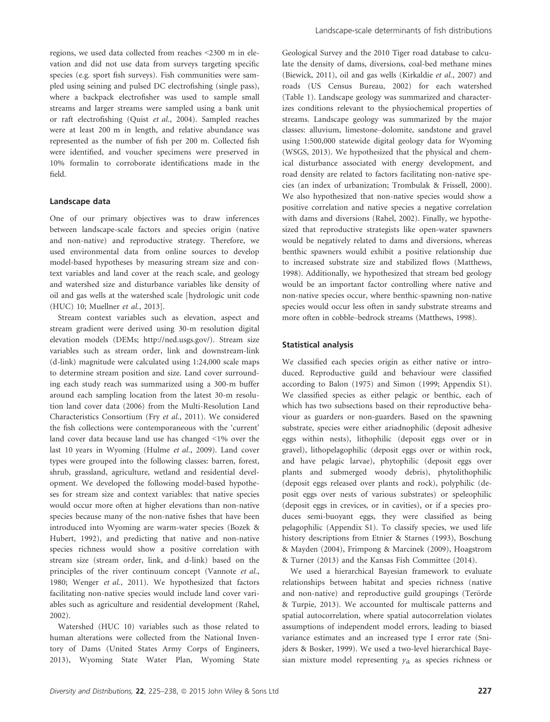regions, we used data collected from reaches <2300 m in elevation and did not use data from surveys targeting specific species (e.g. sport fish surveys). Fish communities were sampled using seining and pulsed DC electrofishing (single pass), where a backpack electrofisher was used to sample small streams and larger streams were sampled using a bank unit or raft electrofishing (Quist et al., 2004). Sampled reaches were at least 200 m in length, and relative abundance was represented as the number of fish per 200 m. Collected fish were identified, and voucher specimens were preserved in 10% formalin to corroborate identifications made in the field.

#### Landscape data

One of our primary objectives was to draw inferences between landscape-scale factors and species origin (native and non-native) and reproductive strategy. Therefore, we used environmental data from online sources to develop model-based hypotheses by measuring stream size and context variables and land cover at the reach scale, and geology and watershed size and disturbance variables like density of oil and gas wells at the watershed scale [hydrologic unit code (HUC) 10; Muellner et al., 2013].

Stream context variables such as elevation, aspect and stream gradient were derived using 30-m resolution digital elevation models (DEMs;<http://ned.usgs.gov/>). Stream size variables such as stream order, link and downstream-link (d-link) magnitude were calculated using 1:24,000 scale maps to determine stream position and size. Land cover surrounding each study reach was summarized using a 300-m buffer around each sampling location from the latest 30-m resolution land cover data (2006) from the Multi-Resolution Land Characteristics Consortium (Fry et al., 2011). We considered the fish collections were contemporaneous with the 'current' land cover data because land use has changed <1% over the last 10 years in Wyoming (Hulme et al., 2009). Land cover types were grouped into the following classes: barren, forest, shrub, grassland, agriculture, wetland and residential development. We developed the following model-based hypotheses for stream size and context variables: that native species would occur more often at higher elevations than non-native species because many of the non-native fishes that have been introduced into Wyoming are warm-water species (Bozek & Hubert, 1992), and predicting that native and non-native species richness would show a positive correlation with stream size (stream order, link, and d-link) based on the principles of the river continuum concept (Vannote et al., 1980; Wenger et al., 2011). We hypothesized that factors facilitating non-native species would include land cover variables such as agriculture and residential development (Rahel, 2002).

Watershed (HUC 10) variables such as those related to human alterations were collected from the National Inventory of Dams (United States Army Corps of Engineers, 2013), Wyoming State Water Plan, Wyoming State Geological Survey and the 2010 Tiger road database to calculate the density of dams, diversions, coal-bed methane mines (Biewick, 2011), oil and gas wells (Kirkaldie et al., 2007) and roads (US Census Bureau, 2002) for each watershed (Table 1). Landscape geology was summarized and characterizes conditions relevant to the physiochemical properties of streams. Landscape geology was summarized by the major classes: alluvium, limestone–dolomite, sandstone and gravel using 1:500,000 statewide digital geology data for Wyoming (WSGS, 2013). We hypothesized that the physical and chemical disturbance associated with energy development, and road density are related to factors facilitating non-native species (an index of urbanization; Trombulak & Frissell, 2000). We also hypothesized that non-native species would show a positive correlation and native species a negative correlation with dams and diversions (Rahel, 2002). Finally, we hypothesized that reproductive strategists like open-water spawners would be negatively related to dams and diversions, whereas benthic spawners would exhibit a positive relationship due to increased substrate size and stabilized flows (Matthews, 1998). Additionally, we hypothesized that stream bed geology would be an important factor controlling where native and non-native species occur, where benthic-spawning non-native species would occur less often in sandy substrate streams and more often in cobble–bedrock streams (Matthews, 1998).

#### Statistical analysis

We classified each species origin as either native or introduced. Reproductive guild and behaviour were classified according to Balon (1975) and Simon (1999; Appendix S1). We classified species as either pelagic or benthic, each of which has two subsections based on their reproductive behaviour as guarders or non-guarders. Based on the spawning substrate, species were either ariadnophilic (deposit adhesive eggs within nests), lithophilic (deposit eggs over or in gravel), lithopelagophilic (deposit eggs over or within rock, and have pelagic larvae), phytophilic (deposit eggs over plants and submerged woody debris), phytolithophilic (deposit eggs released over plants and rock), polyphilic (deposit eggs over nests of various substrates) or speleophilic (deposit eggs in crevices, or in cavities), or if a species produces semi-buoyant eggs, they were classified as being pelagophilic (Appendix S1). To classify species, we used life history descriptions from Etnier & Starnes (1993), Boschung & Mayden (2004), Frimpong & Marcinek (2009), Hoagstrom & Turner (2013) and the Kansas Fish Committee (2014).

We used a hierarchical Bayesian framework to evaluate relationships between habitat and species richness (native and non-native) and reproductive guild groupings (Terörde & Turpie, 2013). We accounted for multiscale patterns and spatial autocorrelation, where spatial autocorrelation violates assumptions of independent model errors, leading to biased variance estimates and an increased type I error rate (Snijders & Bosker, 1999). We used a two-level hierarchical Bayesian mixture model representing  $y_{ik}$  as species richness or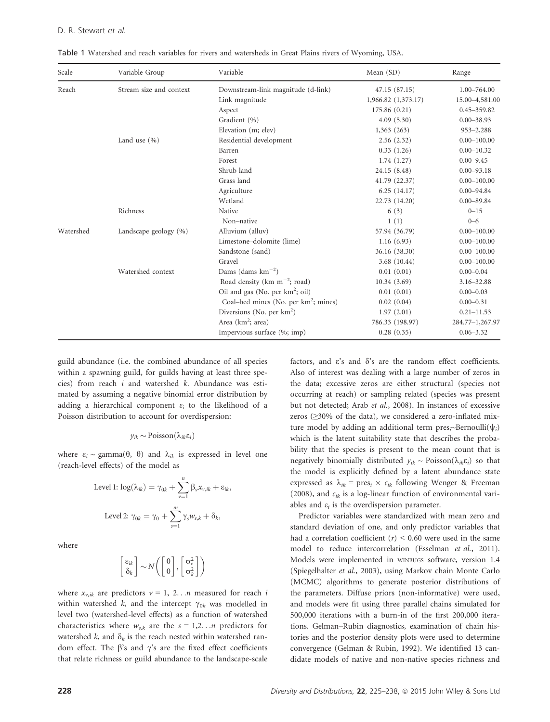#### D. R. Stewart et al.

| Scale     | Variable Group           | Variable                                         | Mean (SD)           | Range           |
|-----------|--------------------------|--------------------------------------------------|---------------------|-----------------|
| Reach     | Stream size and context  | Downstream-link magnitude (d-link)               | 47.15 (87.15)       | $1.00 - 764.00$ |
|           |                          | Link magnitude                                   | 1,966.82 (1,373.17) | 15.00-4,581.00  |
|           |                          | Aspect                                           | 175.86 (0.21)       | 0.45-359.82     |
|           |                          | Gradient (%)                                     | 4.09(5.30)          | $0.00 - 38.93$  |
|           |                          | Elevation (m; elev)                              | 1,363(263)          | $953 - 2,288$   |
|           | Land use $(% )$          | Residential development                          | 2.56(2.32)          | $0.00 - 100.00$ |
|           |                          | Barren                                           | 0.33(1.26)          | $0.00 - 10.32$  |
|           |                          | Forest                                           | 1.74(1.27)          | $0.00 - 9.45$   |
|           |                          | Shrub land                                       | 24.15 (8.48)        | $0.00 - 93.18$  |
|           |                          | Grass land                                       | 41.79 (22.37)       | $0.00 - 100.00$ |
|           |                          | Agriculture                                      | 6.25(14.17)         | $0.00 - 94.84$  |
|           |                          | Wetland                                          | 22.73 (14.20)       | $0.00 - 89.84$  |
|           | Richness                 | Native                                           | 6(3)                | $0 - 15$        |
|           |                          | Non-native                                       | 1(1)                | $0 - 6$         |
| Watershed | Landscape geology $(\%)$ | Alluvium (alluv)                                 | 57.94 (36.79)       | $0.00 - 100.00$ |
|           |                          | Limestone-dolomite (lime)                        | 1.16(6.93)          | $0.00 - 100.00$ |
|           |                          | Sandstone (sand)                                 | 36.16 (38.30)       | $0.00 - 100.00$ |
|           |                          | Gravel                                           | 3.68(10.44)         | $0.00 - 100.00$ |
|           | Watershed context        | Dams (dams $km^{-2}$ )                           | 0.01(0.01)          | $0.00 - 0.04$   |
|           |                          | Road density (km $m^{-2}$ ; road)                | 10.34(3.69)         | 3.16-32.88      |
|           |                          | Oil and gas (No. per km <sup>2</sup> ; oil)      | 0.01(0.01)          | $0.00 - 0.03$   |
|           |                          | Coal–bed mines (No. per km <sup>2</sup> ; mines) | 0.02(0.04)          | $0.00 - 0.31$   |
|           |                          | Diversions (No. per $km^2$ )                     | 1.97(2.01)          | $0.21 - 11.53$  |
|           |                          | Area $(km^2;$ area)                              | 786.33 (198.97)     | 284.77-1,267.97 |
|           |                          | Impervious surface (%; imp)                      | 0.28(0.35)          | $0.06 - 3.32$   |

Table 1 Watershed and reach variables for rivers and watersheds in Great Plains rivers of Wyoming, USA.

guild abundance (i.e. the combined abundance of all species within a spawning guild, for guilds having at least three species) from reach i and watershed k. Abundance was estimated by assuming a negative binomial error distribution by adding a hierarchical component  $\varepsilon_i$  to the likelihood of a Poisson distribution to account for overdispersion:

$$
y_{ik} \sim Poisson(\lambda_{ik} \epsilon_i)
$$

where  $\varepsilon_i \sim \text{gamma}(\theta, \theta)$  and  $\lambda_{ik}$  is expressed in level one (reach-level effects) of the model as

Level 1: 
$$
\log(\lambda_{ik}) = \gamma_{0k} + \sum_{\nu=1}^{n} \beta_{\nu} x_{\nu,ik} + \varepsilon_{ik},
$$
  
Level 2:  $\gamma_{0k} = \gamma_0 + \sum_{s=1}^{m} \gamma_s w_{s,k} + \delta_k,$ 

where

$$
\begin{bmatrix} \epsilon_{ik} \\ \delta_k \end{bmatrix} \sim N\Bigg(\begin{bmatrix} 0 \\ 0 \end{bmatrix}, \begin{bmatrix} \sigma^2_{\varepsilon} \\ \sigma^2_{k} \end{bmatrix}\Bigg)
$$

where  $x_{v,ik}$  are predictors  $v = 1, 2...n$  measured for reach i within watershed k, and the intercept  $\gamma_{0k}$  was modelled in level two (watershed-level effects) as a function of watershed characteristics where  $w_{s,k}$  are the  $s = 1,2...n$  predictors for watershed k, and  $\delta_k$  is the reach nested within watershed random effect. The  $\beta$ 's and  $\gamma$ 's are the fixed effect coefficients that relate richness or guild abundance to the landscape-scale factors, and  $\varepsilon$ 's and  $\delta$ 's are the random effect coefficients. Also of interest was dealing with a large number of zeros in the data; excessive zeros are either structural (species not occurring at reach) or sampling related (species was present but not detected; Arab et al., 2008). In instances of excessive zeros (≥30% of the data), we considered a zero-inflated mixture model by adding an additional term pres<sub>i</sub>~Bernoulli( $\psi_i$ ) which is the latent suitability state that describes the probability that the species is present to the mean count that is negatively binomially distributed  $y_{ik} \sim \text{Poisson}(\lambda_{ik} \varepsilon_i)$  so that the model is explicitly defined by a latent abundance state expressed as  $\lambda_{ik}$  = pres<sub>i</sub>  $\times$  c<sub>ik</sub> following Wenger & Freeman (2008), and  $c_{ik}$  is a log-linear function of environmental variables and  $\varepsilon_i$  is the overdispersion parameter.

Predictor variables were standardized with mean zero and standard deviation of one, and only predictor variables that had a correlation coefficient  $(r) < 0.60$  were used in the same model to reduce intercorrelation (Esselman et al., 2011). Models were implemented in WINBUGS software, version 1.4 (Spiegelhalter et al., 2003), using Markov chain Monte Carlo (MCMC) algorithms to generate posterior distributions of the parameters. Diffuse priors (non-informative) were used, and models were fit using three parallel chains simulated for 500,000 iterations with a burn-in of the first 200,000 iterations. Gelman–Rubin diagnostics, examination of chain histories and the posterior density plots were used to determine convergence (Gelman & Rubin, 1992). We identified 13 candidate models of native and non-native species richness and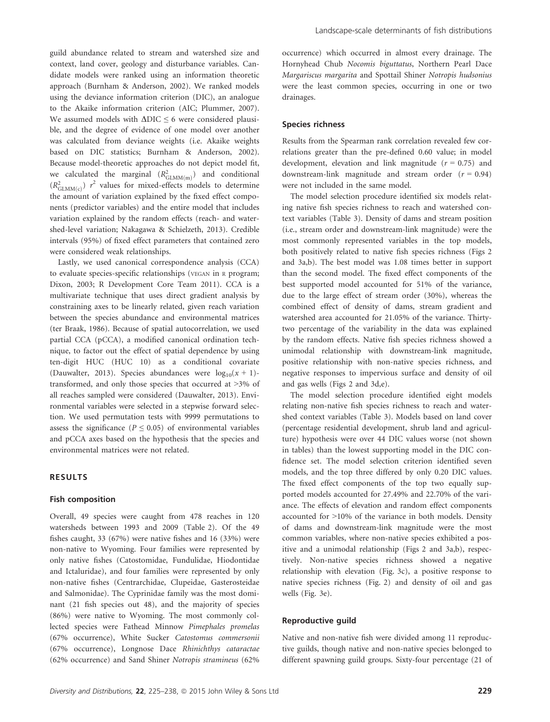guild abundance related to stream and watershed size and context, land cover, geology and disturbance variables. Candidate models were ranked using an information theoretic approach (Burnham & Anderson, 2002). We ranked models using the deviance information criterion (DIC), an analogue to the Akaike information criterion (AIC; Plummer, 2007). We assumed models with  $\Delta DIC \leq 6$  were considered plausible, and the degree of evidence of one model over another was calculated from deviance weights (i.e. Akaike weights based on DIC statistics; Burnham & Anderson, 2002). Because model-theoretic approaches do not depict model fit, we calculated the marginal  $(R^2_{\text{GLMM}(m)})$  and conditional  $(R_{\text{GLMM}(c)}^2)$   $r^2$  values for mixed-effects models to determine the amount of variation explained by the fixed effect components (predictor variables) and the entire model that includes variation explained by the random effects (reach- and watershed-level variation; Nakagawa & Schielzeth, 2013). Credible intervals (95%) of fixed effect parameters that contained zero were considered weak relationships.

Lastly, we used canonical correspondence analysis (CCA) to evaluate species-specific relationships (VEGAN in <sup>R</sup> program; Dixon, 2003; R Development Core Team 2011). CCA is a multivariate technique that uses direct gradient analysis by constraining axes to be linearly related, given reach variation between the species abundance and environmental matrices (ter Braak, 1986). Because of spatial autocorrelation, we used partial CCA (pCCA), a modified canonical ordination technique, to factor out the effect of spatial dependence by using ten-digit HUC (HUC 10) as a conditional covariate (Dauwalter, 2013). Species abundances were  $log_{10}(x + 1)$ transformed, and only those species that occurred at >3% of all reaches sampled were considered (Dauwalter, 2013). Environmental variables were selected in a stepwise forward selection. We used permutation tests with 9999 permutations to assess the significance ( $P \leq 0.05$ ) of environmental variables and pCCA axes based on the hypothesis that the species and environmental matrices were not related.

## RESULTS

#### Fish composition

Overall, 49 species were caught from 478 reaches in 120 watersheds between 1993 and 2009 (Table 2). Of the 49 fishes caught, 33 (67%) were native fishes and 16 (33%) were non-native to Wyoming. Four families were represented by only native fishes (Catostomidae, Fundulidae, Hiodontidae and Ictaluridae), and four families were represented by only non-native fishes (Centrarchidae, Clupeidae, Gasterosteidae and Salmonidae). The Cyprinidae family was the most dominant (21 fish species out 48), and the majority of species (86%) were native to Wyoming. The most commonly collected species were Fathead Minnow Pimephales promelas (67% occurrence), White Sucker Catostomus commersonii (67% occurrence), Longnose Dace Rhinichthys cataractae (62% occurrence) and Sand Shiner Notropis stramineus (62%

occurrence) which occurred in almost every drainage. The Hornyhead Chub Nocomis biguttatus, Northern Pearl Dace Margariscus margarita and Spottail Shiner Notropis hudsonius were the least common species, occurring in one or two drainages.

#### Species richness

Results from the Spearman rank correlation revealed few correlations greater than the pre-defined 0.60 value; in model development, elevation and link magnitude  $(r = 0.75)$  and downstream-link magnitude and stream order  $(r = 0.94)$ were not included in the same model.

The model selection procedure identified six models relating native fish species richness to reach and watershed context variables (Table 3). Density of dams and stream position (i.e., stream order and downstream-link magnitude) were the most commonly represented variables in the top models, both positively related to native fish species richness (Figs 2 and 3a,b). The best model was 1.08 times better in support than the second model. The fixed effect components of the best supported model accounted for 51% of the variance, due to the large effect of stream order (30%), whereas the combined effect of density of dams, stream gradient and watershed area accounted for 21.05% of the variance. Thirtytwo percentage of the variability in the data was explained by the random effects. Native fish species richness showed a unimodal relationship with downstream-link magnitude, positive relationship with non-native species richness, and negative responses to impervious surface and density of oil and gas wells (Figs 2 and 3d,e).

The model selection procedure identified eight models relating non-native fish species richness to reach and watershed context variables (Table 3). Models based on land cover (percentage residential development, shrub land and agriculture) hypothesis were over 44 DIC values worse (not shown in tables) than the lowest supporting model in the DIC confidence set. The model selection criterion identified seven models, and the top three differed by only 0.20 DIC values. The fixed effect components of the top two equally supported models accounted for 27.49% and 22.70% of the variance. The effects of elevation and random effect components accounted for >10% of the variance in both models. Density of dams and downstream-link magnitude were the most common variables, where non-native species exhibited a positive and a unimodal relationship (Figs 2 and 3a,b), respectively. Non-native species richness showed a negative relationship with elevation (Fig. 3c), a positive response to native species richness (Fig. 2) and density of oil and gas wells (Fig. 3e).

#### Reproductive guild

Native and non-native fish were divided among 11 reproductive guilds, though native and non-native species belonged to different spawning guild groups. Sixty-four percentage (21 of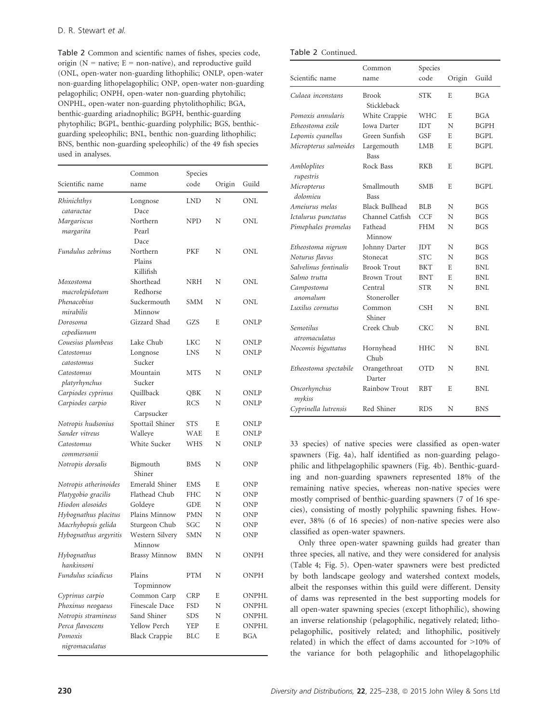Table 2 Common and scientific names of fishes, species code, origin ( $N =$  native;  $E =$  non-native), and reproductive guild (ONL, open-water non-guarding lithophilic; ONLP, open-water non-guarding lithopelagophilic; ONP, open-water non-guarding pelagophilic; ONPH, open-water non-guarding phytohilic; ONPHL, open-water non-guarding phytolithophilic; BGA, benthic-guarding ariadnophilic; BGPH, benthic-guarding phytophilic; BGPL, benthic-guarding polyphilic; BGS, benthicguarding speleophilic; BNL, benthic non-guarding lithophilic; BNS, benthic non-guarding speleophilic) of the 49 fish species used in analyses.

|                           | Common                    | Species    |        |            |
|---------------------------|---------------------------|------------|--------|------------|
| Scientific name           | name                      | code       | Origin | Guild      |
| Rhinichthys               | Longnose                  | LND        | Ν      | ONL        |
| cataractae                | Dace                      |            |        |            |
| Margariscus               | Northern                  | <b>NPD</b> | Ν      | ONL        |
| margarita                 | Pearl                     |            |        |            |
|                           | Dace                      |            |        |            |
| Fundulus zebrinus         | Northern                  | PKF        | Ν      | ONL        |
|                           | Plains                    |            |        |            |
|                           | Killifish                 |            |        |            |
| Moxostoma                 | Shorthead                 | NRH        | Ν      | ONI.       |
| macrolepidotum            | Redhorse                  |            |        |            |
| Phenacobius               | Suckermouth               | SMM        | Ν      | ONL        |
| mirabilis                 | Minnow                    |            |        |            |
| Dorosoma                  | Gizzard Shad              | GZS        | E      | ONLP       |
| cepedianum                |                           |            |        |            |
| Couesius plumbeus         | Lake Chub                 | LKC        | Ν      | ONLP       |
| Catostomus                | Longnose                  | LNS        | Ν      | ONLP       |
| catostomus                | Sucker                    |            |        |            |
| Catostomus                | Mountain                  | MTS        | Ν      | ONLP       |
| platyrhynchus             | Sucker                    |            |        |            |
| Carpiodes cyprinus        | Quillback                 | QBK        | Ν      | ONLP       |
| Carpiodes carpio          | River<br>Carpsucker       | <b>RCS</b> | Ν      | ONLP       |
| Notropis hudsonius        | Spottail Shiner           | <b>STS</b> | E      | ONLP       |
| Sander vitreus            | Walleye                   | <b>WAE</b> | E      | ONLP       |
| Catostomus                | White Sucker              | WHS        | N      | ONLP       |
| commersonii               |                           |            |        |            |
| Notropis dorsalis         | Bigmouth<br>Shiner        | <b>BMS</b> | Ν      | ONP        |
| Notropis atherinoides     | Emerald Shiner            | <b>EMS</b> | E      | ONP        |
| Platygobio gracilis       | Flathead Chub             | <b>FHC</b> | N      | ONP        |
| Hiodon alosoides          | Goldeye                   | GDE        | N      | ONP        |
| Hybognathus placitus      | Plains Minnow             | <b>PMN</b> | Ν      | ONP        |
| Macrhybopsis gelida       | Sturgeon Chub             | SGC        | N      | ONP        |
| Hybognathus argyritis     | Western Silvery<br>Minnow | <b>SMN</b> | N      | ONP        |
| Hybognathus<br>hankinsoni | <b>Brassy Minnow</b>      | BMN        | Ν      | ONPH       |
| Fundulus sciadicus        | Plains<br>Topminnow       | <b>PTM</b> | Ν      | ONPH       |
| Cyprinus carpio           | Common Carp               | CRP        | Е      | ONPHL      |
| Phoxinus neogaeus         | Finescale Dace            | FSD        | Ν      | ONPHL      |
| Notropis stramineus       | Sand Shiner               | <b>SDS</b> | Ν      | ONPHL      |
| Perca flavescens          | Yellow Perch              | YEP        | E      | ONPHL      |
| Pomoxis                   | Black Crappie             | BLC        | E      | <b>BGA</b> |
| nigromaculatus            |                           |            |        |            |
|                           |                           |            |        |            |

#### Table 2 Continued.

|                                   | Common                      | Species    |        |             |
|-----------------------------------|-----------------------------|------------|--------|-------------|
| Scientific name                   | name                        | code       | Origin | Guild       |
| Culaea inconstans                 | <b>Brook</b><br>Stickleback | <b>STK</b> | E      | <b>BGA</b>  |
| Pomoxis annularis                 | White Crappie               | WHC        | E      | <b>BGA</b>  |
| Etheostoma exile                  | <b>Iowa Darter</b>          | IDT        | N      | <b>BGPH</b> |
| Lepomis cyanellus                 | Green Sunfish               | <b>GSF</b> | E      | <b>BGPL</b> |
| Micropterus salmoides             | Largemouth<br><b>Bass</b>   | LMB        | E      | <b>BGPL</b> |
| Ambloplites<br>rupestris          | Rock Bass                   | RKB        | E      | <b>BGPL</b> |
| Micropterus<br>dolomieu           | Smallmouth<br><b>Bass</b>   | <b>SMB</b> | E      | BGPL        |
| Ameiurus melas                    | <b>Black Bullhead</b>       | <b>BLB</b> | N      | <b>BGS</b>  |
| Ictalurus punctatus               | Channel Catfish             | CCF        | N      | <b>BGS</b>  |
| Pimephales promelas               | Fathead<br>Minnow           | <b>FHM</b> | N      | <b>BGS</b>  |
| Etheostoma nigrum                 | Johnny Darter               | JDT        | N      | BGS         |
| Noturus flavus                    | Stonecat                    | <b>STC</b> | N      | <b>BGS</b>  |
| Salvelinus fontinalis             | <b>Brook Trout</b>          | <b>BKT</b> | E      | BNI.        |
| Salmo trutta                      | <b>Brown Trout</b>          | <b>BNT</b> | E      | BNI.        |
| Campostoma<br>anomalum            | Central<br>Stoneroller      | <b>STR</b> | N      | <b>BNL</b>  |
| Luxilus cornutus                  | Common<br>Shiner            | CSH        | N      | BNI.        |
| Semotilus<br><i>atromaculatus</i> | Creek Chub                  | CKC        | N      | <b>BNL</b>  |
| Nocomis biguttatus                | Hornyhead<br>Chub           | HHC        | N      | BNI.        |
| Etheostoma spectabile             | Orangethroat<br>Darter      | OTD        | N      | BNI.        |
| Oncorhynchus<br>mykiss            | Rainbow Trout               | <b>RBT</b> | E      | BNI.        |
| Cyprinella lutrensis              | Red Shiner                  | <b>RDS</b> | N      | <b>BNS</b>  |

33 species) of native species were classified as open-water spawners (Fig. 4a), half identified as non-guarding pelagophilic and lithpelagophilic spawners (Fig. 4b). Benthic-guarding and non-guarding spawners represented 18% of the remaining native species, whereas non-native species were mostly comprised of benthic-guarding spawners (7 of 16 species), consisting of mostly polyphilic spawning fishes. However, 38% (6 of 16 species) of non-native species were also classified as open-water spawners.

Only three open-water spawning guilds had greater than three species, all native, and they were considered for analysis (Table 4; Fig. 5). Open-water spawners were best predicted by both landscape geology and watershed context models, albeit the responses within this guild were different. Density of dams was represented in the best supporting models for all open-water spawning species (except lithophilic), showing an inverse relationship (pelagophilic, negatively related; lithopelagophilic, positively related; and lithophilic, positively related) in which the effect of dams accounted for >10% of the variance for both pelagophilic and lithopelagophilic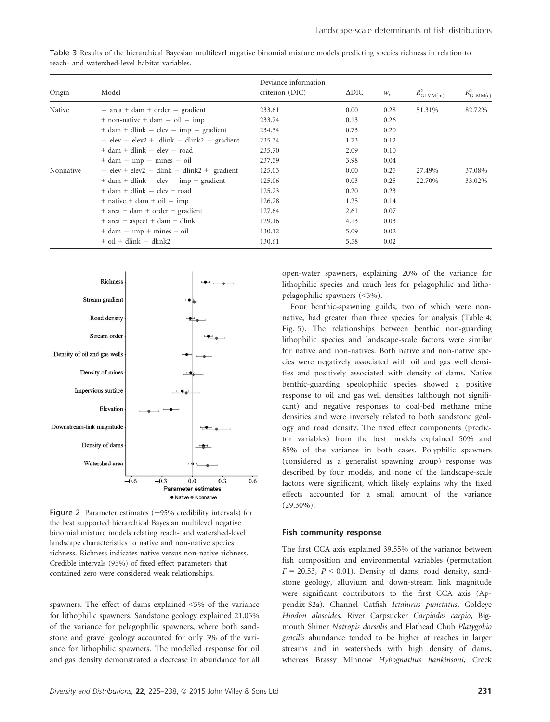| Origin    | Model                                                | Deviance information<br>criterion (DIC) | $\Delta\text{DIC}$ | $W_i$ | $R_{\text{GLMM(m)}}^2$ | $R_{\text{GLMM(c)}}^2$ |
|-----------|------------------------------------------------------|-----------------------------------------|--------------------|-------|------------------------|------------------------|
| Native    | $-$ area + dam + order $-$ gradient                  | 233.61                                  | 0.00               | 0.28  | 51.31%                 | 82.72%                 |
|           | $+$ non-native $+$ dam $-$ oil $-$ imp               | 233.74                                  | 0.13               | 0.26  |                        |                        |
|           | $+$ dam $+$ dlink $-$ elev $-$ imp $-$ gradient      | 234.34                                  | 0.73               | 0.20  |                        |                        |
|           | $-$ elev $-$ elev2 $+$ dlink $-$ dlink2 $-$ gradient | 235.34                                  | 1.73               | 0.12  |                        |                        |
|           | $+$ dam $+$ dlink $-$ elev $-$ road                  | 235.70                                  | 2.09               | 0.10  |                        |                        |
|           | $+$ dam $-$ imp $-$ mines $-$ oil                    | 237.59                                  | 3.98               | 0.04  |                        |                        |
| Nonnative | $-$ elev + elev2 $-$ dlink $-$ dlink2 + gradient     | 125.03                                  | 0.00               | 0.25  | 27.49%                 | 37.08%                 |
|           | $+$ dam $+$ dlink $-$ elev $-$ imp $+$ gradient      | 125.06                                  | 0.03               | 0.25  | 22.70%                 | 33.02%                 |
|           | $+$ dam $+$ dlink $-$ elev $+$ road                  | 125.23                                  | 0.20               | 0.23  |                        |                        |
|           | $+$ native $+$ dam $+$ oil $-$ imp                   | 126.28                                  | 1.25               | 0.14  |                        |                        |
|           | $+$ area $+$ dam $+$ order $+$ gradient              | 127.64                                  | 2.61               | 0.07  |                        |                        |
|           | $+$ area $+$ aspect $+$ dam $+$ dlink                | 129.16                                  | 4.13               | 0.03  |                        |                        |
|           | $+$ dam $-$ imp $+$ mines $+$ oil                    | 130.12                                  | 5.09               | 0.02  |                        |                        |
|           | $+$ oil $+$ dlink $-$ dlink2                         | 130.61                                  | 5.58               | 0.02  |                        |                        |
|           |                                                      |                                         |                    |       |                        |                        |

Table 3 Results of the hierarchical Bayesian multilevel negative binomial mixture models predicting species richness in relation to reach- and watershed-level habitat variables.



Figure 2 Parameter estimates  $(\pm 95\%$  credibility intervals) for the best supported hierarchical Bayesian multilevel negative binomial mixture models relating reach- and watershed-level landscape characteristics to native and non-native species richness. Richness indicates native versus non-native richness. Credible intervals (95%) of fixed effect parameters that contained zero were considered weak relationships.

spawners. The effect of dams explained <5% of the variance for lithophilic spawners. Sandstone geology explained 21.05% of the variance for pelagophilic spawners, where both sandstone and gravel geology accounted for only 5% of the variance for lithophilic spawners. The modelled response for oil and gas density demonstrated a decrease in abundance for all open-water spawners, explaining 20% of the variance for lithophilic species and much less for pelagophilic and lithopelagophilic spawners (<5%).

Four benthic-spawning guilds, two of which were nonnative, had greater than three species for analysis (Table 4; Fig. 5). The relationships between benthic non-guarding lithophilic species and landscape-scale factors were similar for native and non-natives. Both native and non-native species were negatively associated with oil and gas well densities and positively associated with density of dams. Native benthic-guarding speolophilic species showed a positive response to oil and gas well densities (although not significant) and negative responses to coal-bed methane mine densities and were inversely related to both sandstone geology and road density. The fixed effect components (predictor variables) from the best models explained 50% and 85% of the variance in both cases. Polyphilic spawners (considered as a generalist spawning group) response was described by four models, and none of the landscape-scale factors were significant, which likely explains why the fixed effects accounted for a small amount of the variance (29.30%).

#### Fish community response

The first CCA axis explained 39.55% of the variance between fish composition and environmental variables (permutation  $F = 20.53$ ,  $P < 0.01$ ). Density of dams, road density, sandstone geology, alluvium and down-stream link magnitude were significant contributors to the first CCA axis (Appendix S2a). Channel Catfish Ictalurus punctatus, Goldeye Hiodon alosoides, River Carpsucker Carpiodes carpio, Bigmouth Shiner Notropis dorsalis and Flathead Chub Platygobio gracilis abundance tended to be higher at reaches in larger streams and in watersheds with high density of dams, whereas Brassy Minnow Hybognathus hankinsoni, Creek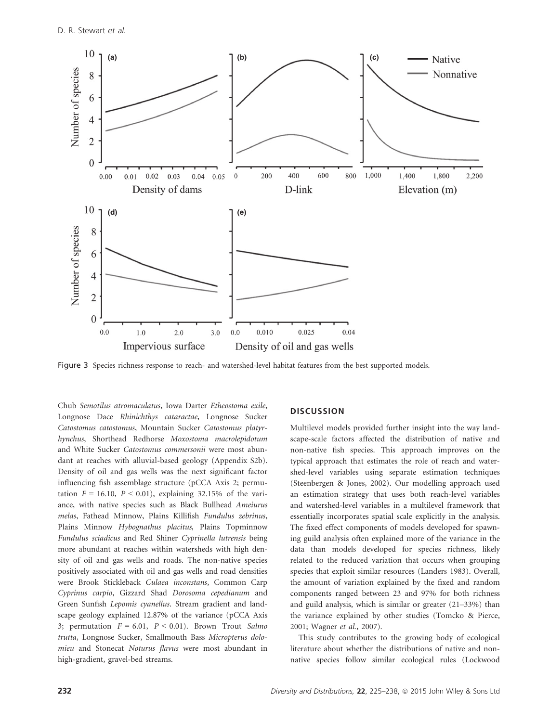

Figure 3 Species richness response to reach- and watershed-level habitat features from the best supported models.

Chub Semotilus atromaculatus, Iowa Darter Etheostoma exile, Longnose Dace Rhinichthys cataractae, Longnose Sucker Catostomus catostomus, Mountain Sucker Catostomus platyrhynchus, Shorthead Redhorse Moxostoma macrolepidotum and White Sucker Catostomus commersonii were most abundant at reaches with alluvial-based geology (Appendix S2b). Density of oil and gas wells was the next significant factor influencing fish assemblage structure (pCCA Axis 2; permutation  $F = 16.10$ ,  $P < 0.01$ ), explaining 32.15% of the variance, with native species such as Black Bullhead Ameiurus melas, Fathead Minnow, Plains Killifish Fundulus zebrinus, Plains Minnow Hybognathus placitus, Plains Topminnow Fundulus sciadicus and Red Shiner Cyprinella lutrensis being more abundant at reaches within watersheds with high density of oil and gas wells and roads. The non-native species positively associated with oil and gas wells and road densities were Brook Stickleback Culaea inconstans, Common Carp Cyprinus carpio, Gizzard Shad Dorosoma cepedianum and Green Sunfish Lepomis cyanellus. Stream gradient and landscape geology explained 12.87% of the variance (pCCA Axis 3; permutation  $F = 6.01$ ,  $P < 0.01$ ). Brown Trout Salmo trutta, Longnose Sucker, Smallmouth Bass Micropterus dolomieu and Stonecat Noturus flavus were most abundant in high-gradient, gravel-bed streams.

#### **DISCUSSION**

Multilevel models provided further insight into the way landscape-scale factors affected the distribution of native and non-native fish species. This approach improves on the typical approach that estimates the role of reach and watershed-level variables using separate estimation techniques (Steenbergen & Jones, 2002). Our modelling approach used an estimation strategy that uses both reach-level variables and watershed-level variables in a multilevel framework that essentially incorporates spatial scale explicitly in the analysis. The fixed effect components of models developed for spawning guild analysis often explained more of the variance in the data than models developed for species richness, likely related to the reduced variation that occurs when grouping species that exploit similar resources (Landers 1983). Overall, the amount of variation explained by the fixed and random components ranged between 23 and 97% for both richness and guild analysis, which is similar or greater (21–33%) than the variance explained by other studies (Tomcko & Pierce, 2001; Wagner et al., 2007).

This study contributes to the growing body of ecological literature about whether the distributions of native and nonnative species follow similar ecological rules (Lockwood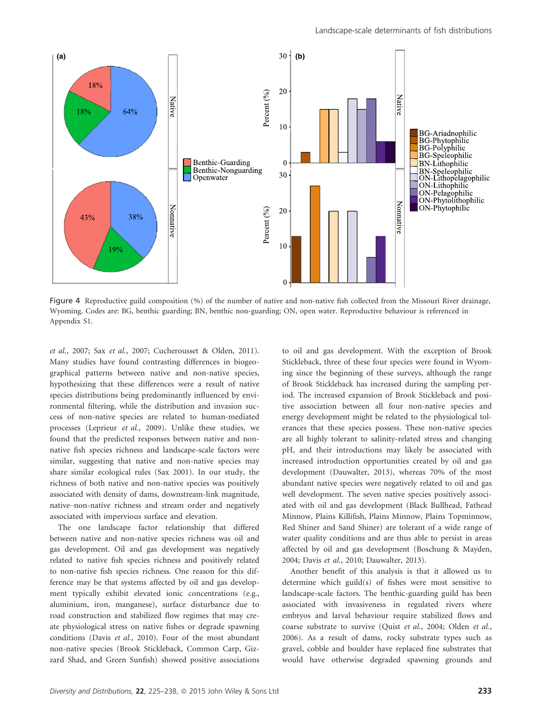

Figure 4 Reproductive guild composition (%) of the number of native and non-native fish collected from the Missouri River drainage, Wyoming. Codes are: BG, benthic guarding; BN, benthic non-guarding; ON, open water. Reproductive behaviour is referenced in Appendix S1.

et al., 2007; Sax et al., 2007; Cucherousset & Olden, 2011). Many studies have found contrasting differences in biogeographical patterns between native and non-native species, hypothesizing that these differences were a result of native species distributions being predominantly influenced by environmental filtering, while the distribution and invasion success of non-native species are related to human-mediated processes (Leprieur et al., 2009). Unlike these studies, we found that the predicted responses between native and nonnative fish species richness and landscape-scale factors were similar, suggesting that native and non-native species may share similar ecological rules (Sax 2001). In our study, the richness of both native and non-native species was positively associated with density of dams, downstream-link magnitude, native–non-native richness and stream order and negatively associated with impervious surface and elevation.

The one landscape factor relationship that differed between native and non-native species richness was oil and gas development. Oil and gas development was negatively related to native fish species richness and positively related to non-native fish species richness. One reason for this difference may be that systems affected by oil and gas development typically exhibit elevated ionic concentrations (e.g., aluminium, iron, manganese), surface disturbance due to road construction and stabilized flow regimes that may create physiological stress on native fishes or degrade spawning conditions (Davis et al., 2010). Four of the most abundant non-native species (Brook Stickleback, Common Carp, Gizzard Shad, and Green Sunfish) showed positive associations to oil and gas development. With the exception of Brook Stickleback, three of these four species were found in Wyoming since the beginning of these surveys, although the range of Brook Stickleback has increased during the sampling period. The increased expansion of Brook Stickleback and positive association between all four non-native species and energy development might be related to the physiological tolerances that these species possess. These non-native species are all highly tolerant to salinity-related stress and changing pH, and their introductions may likely be associated with increased introduction opportunities created by oil and gas development (Dauwalter, 2013), whereas 70% of the most abundant native species were negatively related to oil and gas well development. The seven native species positively associated with oil and gas development (Black Bullhead, Fathead Minnow, Plains Killifish, Plains Minnow, Plains Topminnow, Red Shiner and Sand Shiner) are tolerant of a wide range of water quality conditions and are thus able to persist in areas affected by oil and gas development (Boschung & Mayden, 2004; Davis et al., 2010; Dauwalter, 2013).

Another benefit of this analysis is that it allowed us to determine which guild(s) of fishes were most sensitive to landscape-scale factors. The benthic-guarding guild has been associated with invasiveness in regulated rivers where embryos and larval behaviour require stabilized flows and coarse substrate to survive (Quist et al., 2004; Olden et al., 2006). As a result of dams, rocky substrate types such as gravel, cobble and boulder have replaced fine substrates that would have otherwise degraded spawning grounds and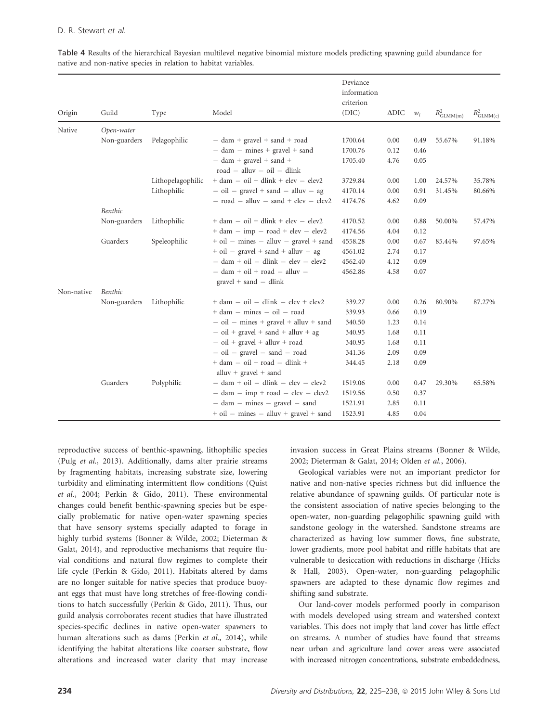|            |              |                   |                                                                                                 | Deviance<br>information |                    |              |                     |                        |
|------------|--------------|-------------------|-------------------------------------------------------------------------------------------------|-------------------------|--------------------|--------------|---------------------|------------------------|
| Origin     | Guild        | Type              | Model                                                                                           | criterion<br>(DIC)      | $\Delta\text{DIC}$ | $W_i$        | $R^2_{\rm GLMM(m)}$ | $R^2_{\text{GLMM}(c)}$ |
| Native     | Open-water   |                   |                                                                                                 |                         |                    |              |                     |                        |
|            | Non-guarders | Pelagophilic      | $-$ dam + gravel + sand + road                                                                  | 1700.64                 | 0.00               | 0.49         | 55.67%              | 91.18%                 |
|            |              |                   | $-$ dam $-$ mines $+$ gravel $+$ sand                                                           | 1700.76                 | 0.12               | 0.46         |                     |                        |
|            |              |                   | $-$ dam + gravel + sand +                                                                       | 1705.40                 | 4.76               | 0.05         |                     |                        |
|            |              |                   | $road - alluv - oil - dlink$                                                                    |                         |                    |              |                     |                        |
|            |              | Lithopelagophilic | $+$ dam $-$ oil $+$ dlink $+$ elev $-$ elev2                                                    | 3729.84                 | 0.00               | 1.00         | 24.57%              | 35.78%                 |
|            |              | Lithophilic       | $-$ oil $-$ gravel $+$ sand $-$ alluv $-$ ag                                                    | 4170.14                 | 0.00               | 0.91         | 31.45%              | 80.66%                 |
|            |              |                   | $-$ road $-$ alluv $-$ sand $+$ elev $-$ elev2                                                  | 4174.76                 | 4.62               | 0.09         |                     |                        |
|            | Benthic      |                   |                                                                                                 |                         |                    |              |                     |                        |
|            | Non-guarders | Lithophilic       | $+$ dam $-$ oil $+$ dlink $+$ elev $-$ elev2                                                    | 4170.52                 | 0.00               | 0.88         | 50.00%              | 57.47%                 |
|            |              |                   | $+$ dam $-$ imp $-$ road $+$ elev $-$ elev2                                                     | 4174.56                 | 4.04               | 0.12         |                     |                        |
|            | Guarders     | Speleophilic      | $+$ oil $-$ mines $-$ alluv $-$ gravel $+$ sand<br>$+$ oil $-$ gravel $+$ sand $+$ alluv $-$ ag | 4558.28                 | 0.00               | 0.67<br>0.17 | 85.44%              | 97.65%                 |
|            |              |                   | $-$ dam + oil - dlink - elev - elev2                                                            | 4561.02<br>4562.40      | 2.74               | 0.09         |                     |                        |
|            |              |                   | $-$ dam + oil + road $-$ alluv $-$                                                              |                         | 4.12               | 0.07         |                     |                        |
|            |              |                   | $gravel + sand - dlink$                                                                         | 4562.86                 | 4.58               |              |                     |                        |
| Non-native | Benthic      |                   |                                                                                                 |                         |                    |              |                     |                        |
|            | Non-guarders | Lithophilic       | $+$ dam $-$ oil $-$ dlink $-$ elev $+$ elev2                                                    | 339.27                  | 0.00               | 0.26         | 80.90%              | 87.27%                 |
|            |              |                   | $+$ dam $-$ mines $-$ oil $-$ road                                                              | 339.93                  | 0.66               | 0.19         |                     |                        |
|            |              |                   | $-$ oil $-$ mines $+$ gravel $+$ alluv $+$ sand                                                 | 340.50                  | 1.23               | 0.14         |                     |                        |
|            |              |                   | $-$ oil + gravel + sand + alluv + ag                                                            | 340.95                  | 1.68               | 0.11         |                     |                        |
|            |              |                   | $-$ oil + gravel + alluv + road                                                                 | 340.95                  | 1.68               | 0.11         |                     |                        |
|            |              |                   | $-$ oil $-$ gravel $-$ sand $-$ road                                                            | 341.36                  | 2.09               | 0.09         |                     |                        |
|            |              |                   | $+$ dam $-$ oil $+$ road $-$ dlink $+$                                                          | 344.45                  | 2.18               | 0.09         |                     |                        |
|            |              |                   | alluv + gravel + sand                                                                           |                         |                    |              |                     |                        |
|            | Guarders     | Polyphilic        | $-$ dam + oil - dlink - elev - elev2                                                            | 1519.06                 | 0.00               | 0.47         | 29.30%              | 65.58%                 |
|            |              |                   | $-$ dam $-$ imp + road $-$ elev $-$ elev2                                                       | 1519.56                 | 0.50               | 0.37         |                     |                        |
|            |              |                   | $-$ dam $-$ mines $-$ gravel $-$ sand                                                           | 1521.91                 | 2.85               | 0.11         |                     |                        |
|            |              |                   | $+$ oil $-$ mines $-$ alluv $+$ gravel $+$ sand                                                 | 1523.91                 | 4.85               | 0.04         |                     |                        |

Table 4 Results of the hierarchical Bayesian multilevel negative binomial mixture models predicting spawning guild abundance for native and non-native species in relation to habitat variables.

reproductive success of benthic-spawning, lithophilic species (Pulg et al., 2013). Additionally, dams alter prairie streams by fragmenting habitats, increasing substrate size, lowering turbidity and eliminating intermittent flow conditions (Quist et al., 2004; Perkin & Gido, 2011). These environmental changes could benefit benthic-spawning species but be especially problematic for native open-water spawning species that have sensory systems specially adapted to forage in highly turbid systems (Bonner & Wilde, 2002; Dieterman & Galat, 2014), and reproductive mechanisms that require fluvial conditions and natural flow regimes to complete their life cycle (Perkin & Gido, 2011). Habitats altered by dams are no longer suitable for native species that produce buoyant eggs that must have long stretches of free-flowing conditions to hatch successfully (Perkin & Gido, 2011). Thus, our guild analysis corroborates recent studies that have illustrated species-specific declines in native open-water spawners to human alterations such as dams (Perkin et al., 2014), while identifying the habitat alterations like coarser substrate, flow alterations and increased water clarity that may increase

invasion success in Great Plains streams (Bonner & Wilde, 2002; Dieterman & Galat, 2014; Olden et al., 2006).

Geological variables were not an important predictor for native and non-native species richness but did influence the relative abundance of spawning guilds. Of particular note is the consistent association of native species belonging to the open-water, non-guarding pelagophilic spawning guild with sandstone geology in the watershed. Sandstone streams are characterized as having low summer flows, fine substrate, lower gradients, more pool habitat and riffle habitats that are vulnerable to desiccation with reductions in discharge (Hicks & Hall, 2003). Open-water, non-guarding pelagophilic spawners are adapted to these dynamic flow regimes and shifting sand substrate.

Our land-cover models performed poorly in comparison with models developed using stream and watershed context variables. This does not imply that land cover has little effect on streams. A number of studies have found that streams near urban and agriculture land cover areas were associated with increased nitrogen concentrations, substrate embeddedness,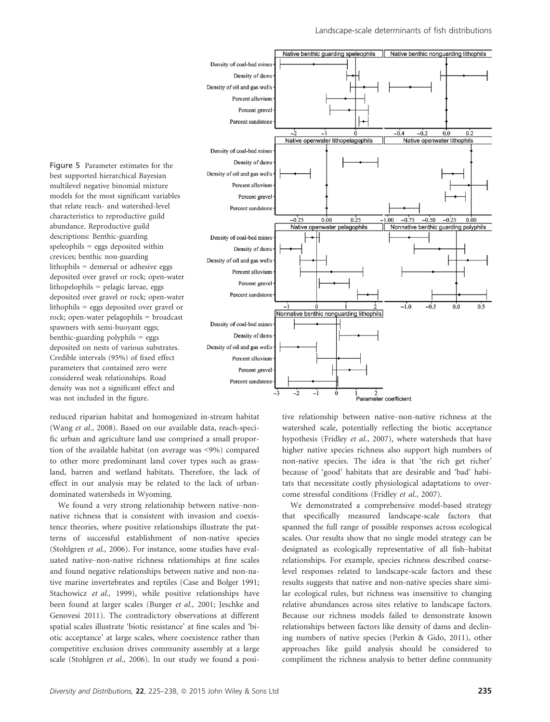

Native benthic guarding speleophils Native benthic nonguarding lithophils Density of coal-bed mines Density of dams Density of oil and gas wells  $-0.4$  $-0.2$  $0<sup>2</sup>$  $0.0$ Native openwater lithophils Native openwater lithopelagophils  $-0.25$  $0.25$  $-1.00$  $-0.50$  $0.00$  $-0.75$  $-0.25$  $0.00$ Native openwater pelagophils Nonnative benthic guarding polyphils  $\dot{0}$  $-1.0$  $-0.5$ റ്റ Nonnative benthic nonguarding lithophils  $\frac{1}{2}$  Parameter coefficient

reduced riparian habitat and homogenized in-stream habitat (Wang et al., 2008). Based on our available data, reach-specific urban and agriculture land use comprised a small proportion of the available habitat (on average was <9%) compared to other more predominant land cover types such as grassland, barren and wetland habitats. Therefore, the lack of effect in our analysis may be related to the lack of urbandominated watersheds in Wyoming.

We found a very strong relationship between native–nonnative richness that is consistent with invasion and coexistence theories, where positive relationships illustrate the patterns of successful establishment of non-native species (Stohlgren et al., 2006). For instance, some studies have evaluated native–non-native richness relationships at fine scales and found negative relationships between native and non-native marine invertebrates and reptiles (Case and Bolger 1991; Stachowicz et al., 1999), while positive relationships have been found at larger scales (Burger et al., 2001; Jeschke and Genovesi 2011). The contradictory observations at different spatial scales illustrate 'biotic resistance' at fine scales and 'biotic acceptance' at large scales, where coexistence rather than competitive exclusion drives community assembly at a large scale (Stohlgren et al., 2006). In our study we found a positive relationship between native–non-native richness at the watershed scale, potentially reflecting the biotic acceptance hypothesis (Fridley et al., 2007), where watersheds that have higher native species richness also support high numbers of non-native species. The idea is that 'the rich get richer' because of 'good' habitats that are desirable and 'bad' habitats that necessitate costly physiological adaptations to overcome stressful conditions (Fridley et al., 2007).

We demonstrated a comprehensive model-based strategy that specifically measured landscape-scale factors that spanned the full range of possible responses across ecological scales. Our results show that no single model strategy can be designated as ecologically representative of all fish–habitat relationships. For example, species richness described coarselevel responses related to landscape-scale factors and these results suggests that native and non-native species share similar ecological rules, but richness was insensitive to changing relative abundances across sites relative to landscape factors. Because our richness models failed to demonstrate known relationships between factors like density of dams and declining numbers of native species (Perkin & Gido, 2011), other approaches like guild analysis should be considered to compliment the richness analysis to better define community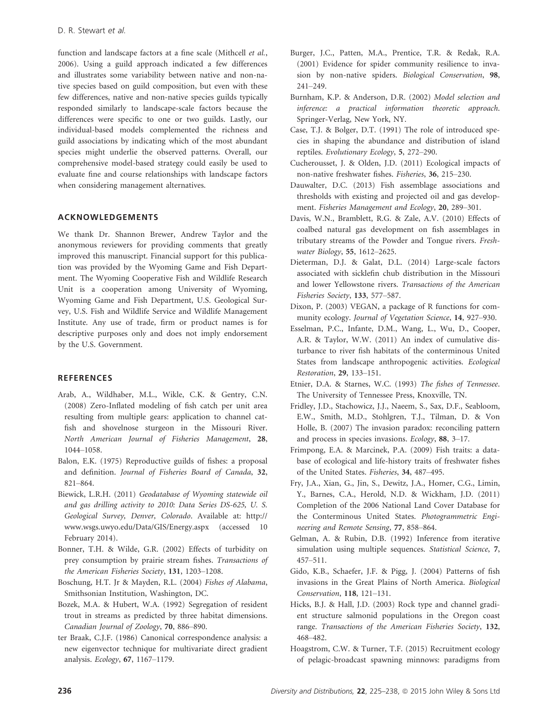function and landscape factors at a fine scale (Mithcell et al., 2006). Using a guild approach indicated a few differences and illustrates some variability between native and non-native species based on guild composition, but even with these few differences, native and non-native species guilds typically responded similarly to landscape-scale factors because the differences were specific to one or two guilds. Lastly, our individual-based models complemented the richness and guild associations by indicating which of the most abundant species might underlie the observed patterns. Overall, our comprehensive model-based strategy could easily be used to evaluate fine and course relationships with landscape factors when considering management alternatives.

# ACKNOWLEDGEMENTS

We thank Dr. Shannon Brewer, Andrew Taylor and the anonymous reviewers for providing comments that greatly improved this manuscript. Financial support for this publication was provided by the Wyoming Game and Fish Department. The Wyoming Cooperative Fish and Wildlife Research Unit is a cooperation among University of Wyoming, Wyoming Game and Fish Department, U.S. Geological Survey, U.S. Fish and Wildlife Service and Wildlife Management Institute. Any use of trade, firm or product names is for descriptive purposes only and does not imply endorsement by the U.S. Government.

# **REFERENCES**

- Arab, A., Wildhaber, M.L., Wikle, C.K. & Gentry, C.N. (2008) Zero-Inflated modeling of fish catch per unit area resulting from multiple gears: application to channel catfish and shovelnose sturgeon in the Missouri River. North American Journal of Fisheries Management, 28, 1044–1058.
- Balon, E.K. (1975) Reproductive guilds of fishes: a proposal and definition. Journal of Fisheries Board of Canada, 32, 821–864.
- Biewick, L.R.H. (2011) Geodatabase of Wyoming statewide oil and gas drilling activity to 2010: Data Series DS-625, U. S. Geological Survey, Denver, Colorado. Available at: [http://](http://www.wsgs.uwyo.edu/Data/GIS/Energy.aspx) [www.wsgs.uwyo.edu/Data/GIS/Energy.aspx](http://www.wsgs.uwyo.edu/Data/GIS/Energy.aspx) (accessed 10 February 2014).
- Bonner, T.H. & Wilde, G.R. (2002) Effects of turbidity on prey consumption by prairie stream fishes. Transactions of the American Fisheries Society, 131, 1203–1208.
- Boschung, H.T. Jr & Mayden, R.L. (2004) Fishes of Alabama, Smithsonian Institution, Washington, DC.
- Bozek, M.A. & Hubert, W.A. (1992) Segregation of resident trout in streams as predicted by three habitat dimensions. Canadian Journal of Zoology, 70, 886–890.
- ter Braak, C.J.F. (1986) Canonical correspondence analysis: a new eigenvector technique for multivariate direct gradient analysis. Ecology, 67, 1167–1179.
- Burger, J.C., Patten, M.A., Prentice, T.R. & Redak, R.A. (2001) Evidence for spider community resilience to invasion by non-native spiders. Biological Conservation, 98, 241–249.
- Burnham, K.P. & Anderson, D.R. (2002) Model selection and inference: a practical information theoretic approach. Springer-Verlag, New York, NY.
- Case, T.J. & Bolger, D.T. (1991) The role of introduced species in shaping the abundance and distribution of island reptiles. Evolutionary Ecology, 5, 272–290.
- Cucherousset, J. & Olden, J.D. (2011) Ecological impacts of non-native freshwater fishes. Fisheries, 36, 215–230.
- Dauwalter, D.C. (2013) Fish assemblage associations and thresholds with existing and projected oil and gas development. Fisheries Management and Ecology, 20, 289–301.
- Davis, W.N., Bramblett, R.G. & Zale, A.V. (2010) Effects of coalbed natural gas development on fish assemblages in tributary streams of the Powder and Tongue rivers. Freshwater Biology, 55, 1612–2625.
- Dieterman, D.J. & Galat, D.L. (2014) Large-scale factors associated with sicklefin chub distribution in the Missouri and lower Yellowstone rivers. Transactions of the American Fisheries Society, 133, 577–587.
- Dixon, P. (2003) VEGAN, a package of R functions for community ecology. Journal of Vegetation Science, 14, 927–930.
- Esselman, P.C., Infante, D.M., Wang, L., Wu, D., Cooper, A.R. & Taylor, W.W. (2011) An index of cumulative disturbance to river fish habitats of the conterminous United States from landscape anthropogenic activities. Ecological Restoration, 29, 133–151.
- Etnier, D.A. & Starnes, W.C. (1993) The fishes of Tennessee. The University of Tennessee Press, Knoxville, TN.
- Fridley, J.D., Stachowicz, J.J., Naeem, S., Sax, D.F., Seabloom, E.W., Smith, M.D., Stohlgren, T.J., Tilman, D. & Von Holle, B. (2007) The invasion paradox: reconciling pattern and process in species invasions. Ecology, 88, 3–17.
- Frimpong, E.A. & Marcinek, P.A. (2009) Fish traits: a database of ecological and life-history traits of freshwater fishes of the United States. Fisheries, 34, 487–495.
- Fry, J.A., Xian, G., Jin, S., Dewitz, J.A., Homer, C.G., Limin, Y., Barnes, C.A., Herold, N.D. & Wickham, J.D. (2011) Completion of the 2006 National Land Cover Database for the Conterminous United States. Photogrammetric Engineering and Remote Sensing, 77, 858–864.
- Gelman, A. & Rubin, D.B. (1992) Inference from iterative simulation using multiple sequences. Statistical Science, 7, 457–511.
- Gido, K.B., Schaefer, J.F. & Pigg, J. (2004) Patterns of fish invasions in the Great Plains of North America. Biological Conservation, 118, 121–131.
- Hicks, B.J. & Hall, J.D. (2003) Rock type and channel gradient structure salmonid populations in the Oregon coast range. Transactions of the American Fisheries Society, 132, 468–482.
- Hoagstrom, C.W. & Turner, T.F. (2015) Recruitment ecology of pelagic-broadcast spawning minnows: paradigms from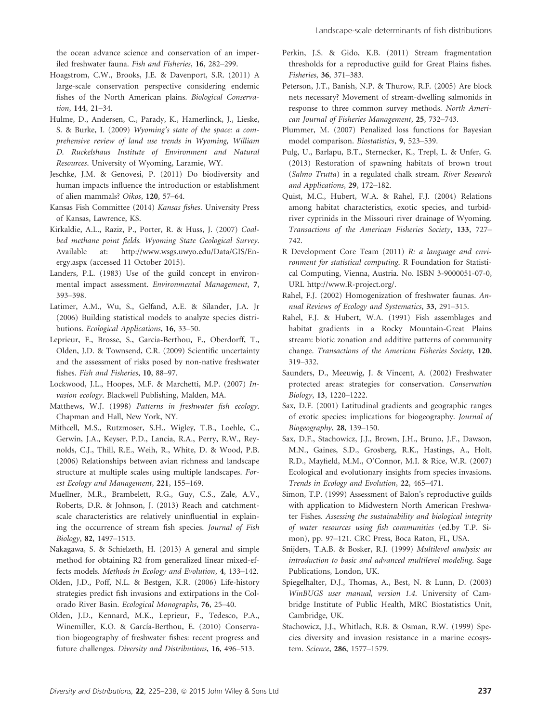the ocean advance science and conservation of an imperiled freshwater fauna. Fish and Fisheries, 16, 282–299.

- Hoagstrom, C.W., Brooks, J.E. & Davenport, S.R. (2011) A large-scale conservation perspective considering endemic fishes of the North American plains. Biological Conservation, 144, 21–34.
- Hulme, D., Andersen, C., Parady, K., Hamerlinck, J., Lieske, S. & Burke, I. (2009) Wyoming's state of the space: a comprehensive review of land use trends in Wyoming, William D. Ruckelshaus Institute of Environment and Natural Resources. University of Wyoming, Laramie, WY.
- Jeschke, J.M. & Genovesi, P. (2011) Do biodiversity and human impacts influence the introduction or establishment of alien mammals? Oikos, 120, 57–64.
- Kansas Fish Committee (2014) Kansas fishes. University Press of Kansas, Lawrence, KS.
- Kirkaldie, A.L., Raziz, P., Porter, R. & Huss, J. (2007) Coalbed methane point fields. Wyoming State Geological Survey. Available at: [http://www.wsgs.uwyo.edu/Data/GIS/En](http://www.wsgs.uwyo.edu/Data/GIS/Energy.aspx)[ergy.aspx](http://www.wsgs.uwyo.edu/Data/GIS/Energy.aspx) (accessed 11 October 2015).
- Landers, P.L. (1983) Use of the guild concept in environmental impact assessment. Environmental Management, 7, 393–398.
- Latimer, A.M., Wu, S., Gelfand, A.E. & Silander, J.A. Jr (2006) Building statistical models to analyze species distributions. Ecological Applications, 16, 33–50.
- Leprieur, F., Brosse, S., Garcia-Berthou, E., Oberdorff, T., Olden, J.D. & Townsend, C.R. (2009) Scientific uncertainty and the assessment of risks posed by non-native freshwater fishes. Fish and Fisheries, 10, 88–97.
- Lockwood, J.L., Hoopes, M.F. & Marchetti, M.P. (2007) Invasion ecology. Blackwell Publishing, Malden, MA.
- Matthews, W.J. (1998) Patterns in freshwater fish ecology. Chapman and Hall, New York, NY.
- Mithcell, M.S., Rutzmoser, S.H., Wigley, T.B., Loehle, C., Gerwin, J.A., Keyser, P.D., Lancia, R.A., Perry, R.W., Reynolds, C.J., Thill, R.E., Weih, R., White, D. & Wood, P.B. (2006) Relationships between avian richness and landscape structure at multiple scales using multiple landscapes. Forest Ecology and Management, 221, 155–169.
- Muellner, M.R., Brambelett, R.G., Guy, C.S., Zale, A.V., Roberts, D.R. & Johnson, J. (2013) Reach and catchmentscale characteristics are relatively uninfluential in explaining the occurrence of stream fish species. Journal of Fish Biology, 82, 1497–1513.
- Nakagawa, S. & Schielzeth, H. (2013) A general and simple method for obtaining R2 from generalized linear mixed-effects models. Methods in Ecology and Evolution, 4, 133–142.
- Olden, J.D., Poff, N.L. & Bestgen, K.R. (2006) Life-history strategies predict fish invasions and extirpations in the Colorado River Basin. Ecological Monographs, 76, 25–40.
- Olden, J.D., Kennard, M.K., Leprieur, F., Tedesco, P.A., Winemiller, K.O. & García-Berthou, E. (2010) Conservation biogeography of freshwater fishes: recent progress and future challenges. Diversity and Distributions, 16, 496–513.
- Perkin, J.S. & Gido, K.B. (2011) Stream fragmentation thresholds for a reproductive guild for Great Plains fishes. Fisheries, 36, 371–383.
- Peterson, J.T., Banish, N.P. & Thurow, R.F. (2005) Are block nets necessary? Movement of stream-dwelling salmonids in response to three common survey methods. North American Journal of Fisheries Management, 25, 732–743.
- Plummer, M. (2007) Penalized loss functions for Bayesian model comparison. Biostatistics, 9, 523–539.
- Pulg, U., Barlapu, B.T., Sternecker, K., Trepl, L. & Unfer, G. (2013) Restoration of spawning habitats of brown trout (Salmo Trutta) in a regulated chalk stream. River Research and Applications, 29, 172–182.
- Quist, M.C., Hubert, W.A. & Rahel, F.J. (2004) Relations among habitat characteristics, exotic species, and turbidriver cyprinids in the Missouri river drainage of Wyoming. Transactions of the American Fisheries Society, 133, 727– 742.
- R Development Core Team (2011) R: a language and environment for statistical computing. R Foundation for Statistical Computing, Vienna, Austria. No. ISBN 3-9000051-07-0, URL<http://www.R-project.org/>.
- Rahel, F.J. (2002) Homogenization of freshwater faunas. Annual Reviews of Ecology and Systematics, 33, 291–315.
- Rahel, F.J. & Hubert, W.A. (1991) Fish assemblages and habitat gradients in a Rocky Mountain-Great Plains stream: biotic zonation and additive patterns of community change. Transactions of the American Fisheries Society, 120, 319–332.
- Saunders, D., Meeuwig, J. & Vincent, A. (2002) Freshwater protected areas: strategies for conservation. Conservation Biology, 13, 1220–1222.
- Sax, D.F. (2001) Latitudinal gradients and geographic ranges of exotic species: implications for biogeography. Journal of Biogeography, 28, 139–150.
- Sax, D.F., Stachowicz, J.J., Brown, J.H., Bruno, J.F., Dawson, M.N., Gaines, S.D., Grosberg, R.K., Hastings, A., Holt, R.D., Mayfield, M.M., O'Connor, M.I. & Rice, W.R. (2007) Ecological and evolutionary insights from species invasions. Trends in Ecology and Evolution, 22, 465–471.
- Simon, T.P. (1999) Assessment of Balon's reproductive guilds with application to Midwestern North American Freshwater Fishes. Assessing the sustainability and biological integrity of water resources using fish communities (ed.by T.P. Simon), pp. 97–121. CRC Press, Boca Raton, FL, USA.
- Snijders, T.A.B. & Bosker, R.J. (1999) Multilevel analysis: an introduction to basic and advanced multilevel modeling. Sage Publications, London, UK.
- Spiegelhalter, D.J., Thomas, A., Best, N. & Lunn, D. (2003) WinBUGS user manual, version 1.4. University of Cambridge Institute of Public Health, MRC Biostatistics Unit, Cambridge, UK.
- Stachowicz, J.J., Whitlach, R.B. & Osman, R.W. (1999) Species diversity and invasion resistance in a marine ecosystem. Science, 286, 1577–1579.